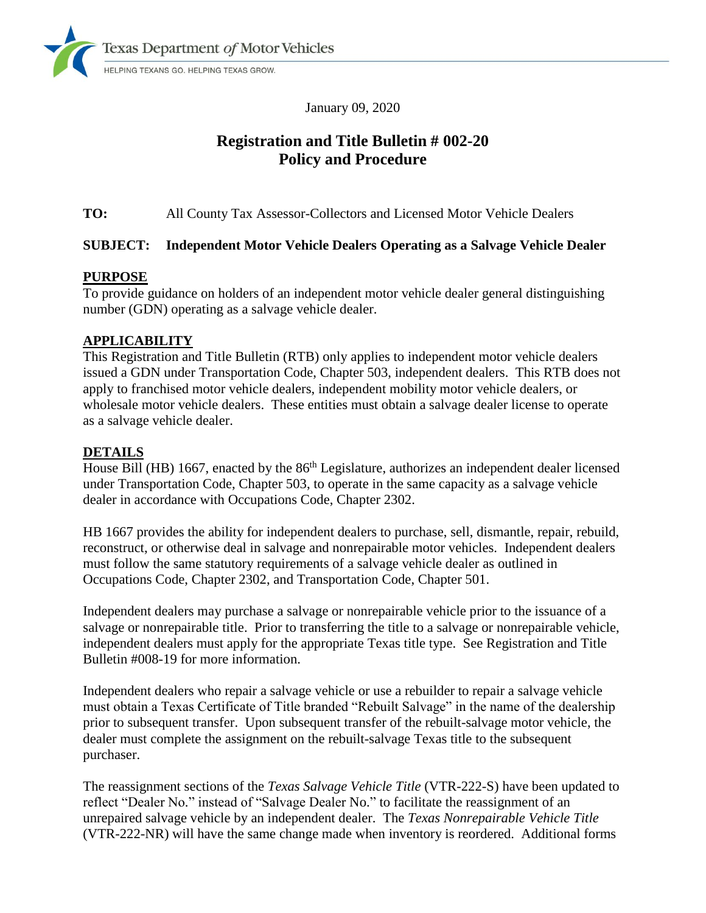

January 09, 2020

# **Registration and Title Bulletin # 002-20 Policy and Procedure**

**TO:** All County Tax Assessor-Collectors and Licensed Motor Vehicle Dealers

# **SUBJECT: Independent Motor Vehicle Dealers Operating as a Salvage Vehicle Dealer**

## **PURPOSE**

To provide guidance on holders of an independent motor vehicle dealer general distinguishing number (GDN) operating as a salvage vehicle dealer.

## **APPLICABILITY**

This Registration and Title Bulletin (RTB) only applies to independent motor vehicle dealers issued a GDN under Transportation Code, Chapter 503, independent dealers. This RTB does not apply to franchised motor vehicle dealers, independent mobility motor vehicle dealers, or wholesale motor vehicle dealers. These entities must obtain a salvage dealer license to operate as a salvage vehicle dealer.

# **DETAILS**

House Bill (HB) 1667, enacted by the 86<sup>th</sup> Legislature, authorizes an independent dealer licensed under Transportation Code, Chapter 503, to operate in the same capacity as a salvage vehicle dealer in accordance with Occupations Code, Chapter 2302.

HB 1667 provides the ability for independent dealers to purchase, sell, dismantle, repair, rebuild, reconstruct, or otherwise deal in salvage and nonrepairable motor vehicles. Independent dealers must follow the same statutory requirements of a salvage vehicle dealer as outlined in Occupations Code, Chapter 2302, and Transportation Code, Chapter 501.

Independent dealers may purchase a salvage or nonrepairable vehicle prior to the issuance of a salvage or nonrepairable title. Prior to transferring the title to a salvage or nonrepairable vehicle, independent dealers must apply for the appropriate Texas title type. See Registration and Title Bulletin #008-19 for more information.

Independent dealers who repair a salvage vehicle or use a rebuilder to repair a salvage vehicle must obtain a Texas Certificate of Title branded "Rebuilt Salvage" in the name of the dealership prior to subsequent transfer. Upon subsequent transfer of the rebuilt-salvage motor vehicle, the dealer must complete the assignment on the rebuilt-salvage Texas title to the subsequent purchaser.

The reassignment sections of the *Texas Salvage Vehicle Title* (VTR-222-S) have been updated to reflect "Dealer No." instead of "Salvage Dealer No." to facilitate the reassignment of an unrepaired salvage vehicle by an independent dealer. The *Texas Nonrepairable Vehicle Title* (VTR-222-NR) will have the same change made when inventory is reordered. Additional forms